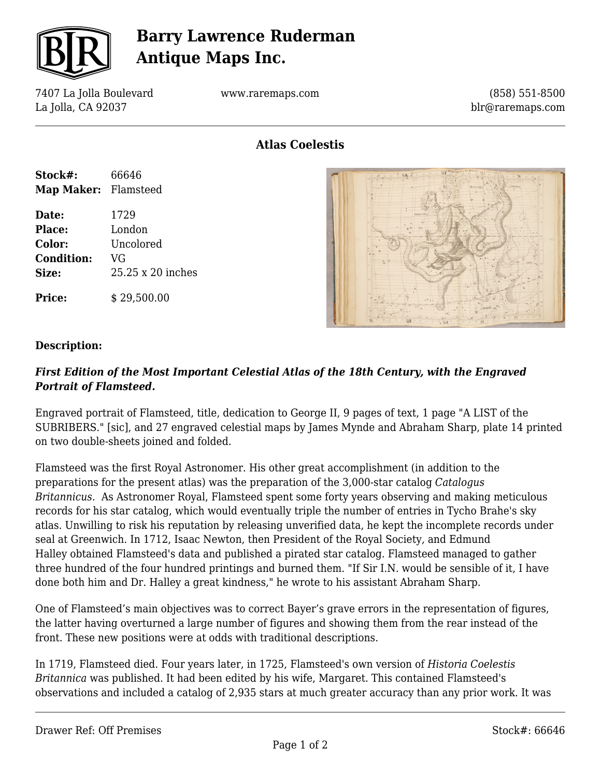

# **Barry Lawrence Ruderman Antique Maps Inc.**

7407 La Jolla Boulevard La Jolla, CA 92037

**Stock#:** 66646 **Map Maker:** Flamsteed

**Date:** 1729 **Place:** London **Color:** Uncolored

**Condition:** VG

**Size:** 25.25 x 20 inches

**Price:**  $\qquad$  \$ 29,500.00

www.raremaps.com

(858) 551-8500 blr@raremaps.com

**Atlas Coelestis**



### **Description:**

### *First Edition of the Most Important Celestial Atlas of the 18th Century, with the Engraved Portrait of Flamsteed.*

Engraved portrait of Flamsteed, title, dedication to George II, 9 pages of text, 1 page "A LIST of the SUBRIBERS." [sic], and 27 engraved celestial maps by James Mynde and Abraham Sharp, plate 14 printed on two double-sheets joined and folded.

Flamsteed was the first Royal Astronomer. His other great accomplishment (in addition to the preparations for the present atlas) was the preparation of the 3,000-star catalog *Catalogus Britannicus*. As Astronomer Royal, Flamsteed spent some forty years observing and making meticulous records for his star catalog, which would eventually triple the number of entries in Tycho Brahe's sky atlas. Unwilling to risk his reputation by releasing unverified data, he kept the incomplete records under seal at Greenwich. In 1712, Isaac Newton, then President of the Royal Society, and Edmund Halley obtained Flamsteed's data and published a pirated star catalog. Flamsteed managed to gather three hundred of the four hundred printings and burned them. "If Sir I.N. would be sensible of it, I have done both him and Dr. Halley a great kindness," he wrote to his assistant Abraham Sharp.

One of Flamsteed's main objectives was to correct Bayer's grave errors in the representation of figures, the latter having overturned a large number of figures and showing them from the rear instead of the front. These new positions were at odds with traditional descriptions.

In 1719, Flamsteed died. Four years later, in 1725, Flamsteed's own version of *Historia Coelestis Britannica* was published. It had been edited by his wife, Margaret. This contained Flamsteed's observations and included a catalog of 2,935 stars at much greater accuracy than any prior work. It was